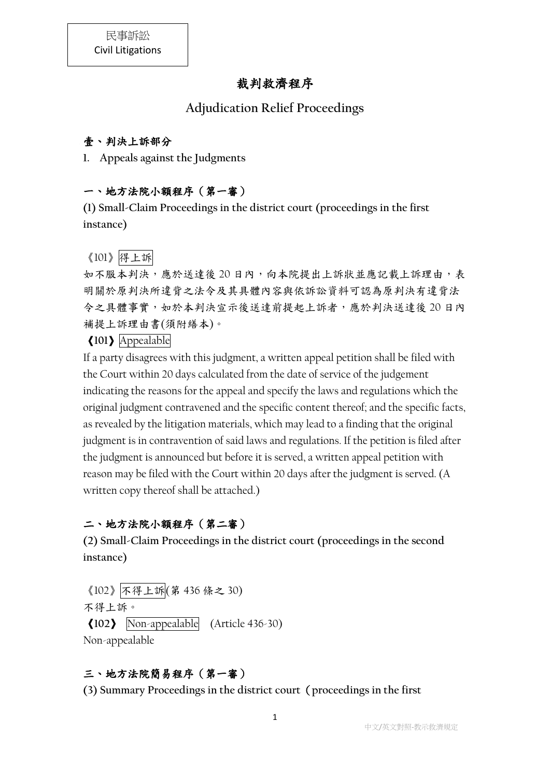# 裁判救濟程序

## **Adjudication Relief Proceedings**

#### 壹、判決上訴部分

**1. Appeals against the Judgments**

### 一、地方法院小額程序(第一審)

**(1) Small-Claim Proceedings in the district court (proceedings in the first instance)**

#### 《101》得上訴

如不服本判決,應於送達後 20 日內,向本院提出上訴狀並應記載上訴理由,表 明關於原判決所違背之法令及其具體內容與依訴訟資料可認為原判決有違背法 令之具體事實,如於本判決宣示後送達前提起上訴者,應於判決送達後 20 日內 補提上訴理由書(須附繕本)。

### 《**101**》Appealable

If a party disagrees with this judgment, a written appeal petition shall be filed with the Court within 20 days calculated from the date of service of the judgement indicating the reasons for the appeal and specify the laws and regulations which the original judgment contravened and the specific content thereof; and the specific facts, as revealed by the litigation materials, which may lead to a finding that the original judgment is in contravention of said laws and regulations. If the petition is filed after the judgment is announced but before it is served, a written appeal petition with reason may be filed with the Court within 20 days after the judgment is served. (A written copy thereof shall be attached.)

### 二、地方法院小額程序(第二審)

**(2) Small-Claim Proceedings in the district court (proceedings in the second instance)**

《102》不得上訴(第 436 條之 30) 不得上訴。 《**102**》 Non-appealable (Article 436-30) Non-appealable

### 三、地方法院簡易程序(第一審)

**(3) Summary Proceedings in the district court**(**proceedings in the first**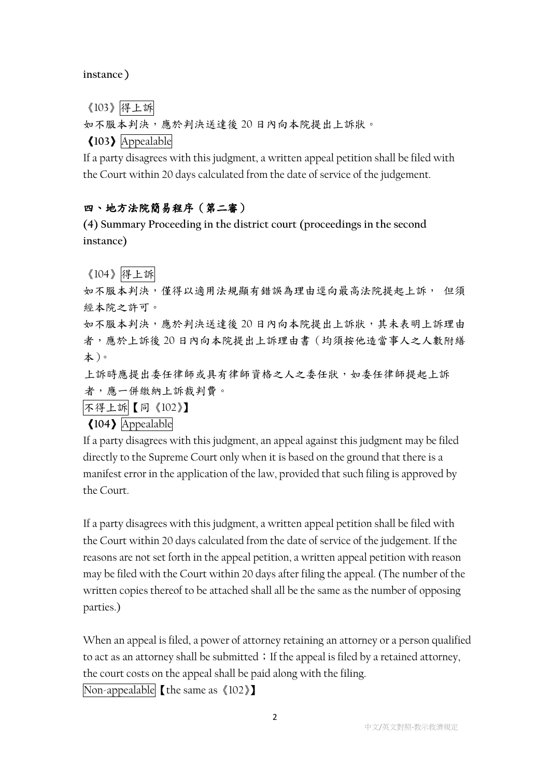**instance**)

《103》得上訴

如不服本判決,應於判決送達後 20 日內向本院提出上訴狀。

《**103**》Appealable

If a party disagrees with this judgment, a written appeal petition shall be filed with the Court within 20 days calculated from the date of service of the judgement.

### 四、地方法院簡易程序(第二審)

**(4) Summary Proceeding in the district court (proceedings in the second instance)**

《104》得上訴

如不服本判決,僅得以適用法規顯有錯誤為理由逕向最高法院提起上訴, 但須 經本院之許可。

如不服本判決,應於判決送達後20日內向本院提出上訴狀,其未表明上訴理由 者,應於上訴後 20 日內向本院提出上訴理由書(均須按他造當事人之人數附繕 本)。

上訴時應提出委任律師或具有律師資格之人之委任狀,如委任律師提起上訴 者,應一併繳納上訴裁判費。

不得上訴【同《102》】

《**104**》Appealable

If a party disagrees with this judgment, an appeal against this judgment may be filed directly to the Supreme Court only when it is based on the ground that there is a manifest error in the application of the law, provided that such filing is approved by the Court.

If a party disagrees with this judgment, a written appeal petition shall be filed with the Court within 20 days calculated from the date of service of the judgement. If the reasons are not set forth in the appeal petition, a written appeal petition with reason may be filed with the Court within 20 days after filing the appeal. (The number of the written copies thereof to be attached shall all be the same as the number of opposing parties.)

When an appeal is filed, a power of attorney retaining an attorney or a person qualified to act as an attorney shall be submitted; If the appeal is filed by a retained attorney, the court costs on the appeal shall be paid along with the filing.

Non-appealable【the same as《102》】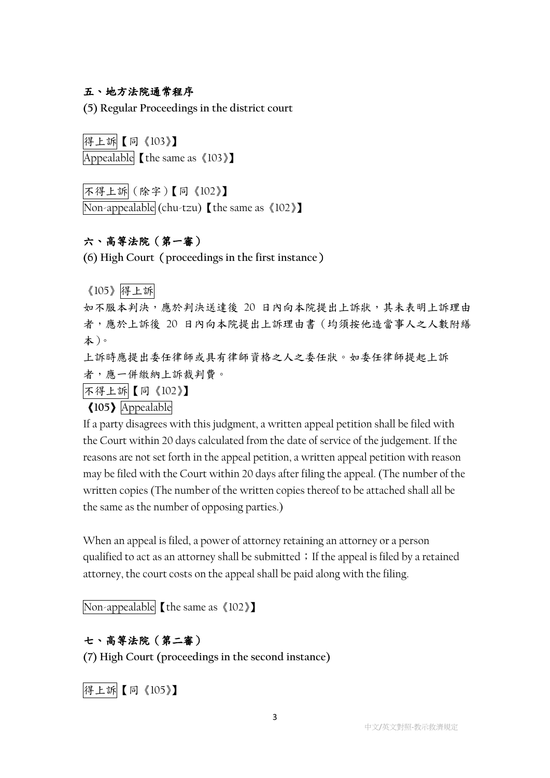#### 五、地方法院通常程序

**(5) Regular Proceedings in the district court**

得上訴【同《103》】 Appealable 【the same as 《103》】

不得上訴(除字)【同《102》】 Non-appealable (chu-tzu) [the same as  $\langle 102 \rangle$ ]

### 六、高等法院(第一審)

**(6) High Court**(**proceedings in the first instance**)

《105》得上訴

如不服本判決,應於判決送達後 20 日內向本院提出上訴狀,其未表明上訴理由 者,應於上訴後 20 日內向本院提出上訴理由書(均須按他造當事人之人數附繕 本)。

上訴時應提出委任律師或具有律師資格之人之委任狀。如委任律師提起上訴 者,應一併繳納上訴裁判費。

不得上訴【同《102》】

《**105**》Appealable

If a party disagrees with this judgment, a written appeal petition shall be filed with the Court within 20 days calculated from the date of service of the judgement. If the reasons are not set forth in the appeal petition, a written appeal petition with reason may be filed with the Court within 20 days after filing the appeal. (The number of the written copies (The number of the written copies thereof to be attached shall all be the same as the number of opposing parties.)

When an appeal is filed, a power of attorney retaining an attorney or a person qualified to act as an attorney shall be submitted; If the appeal is filed by a retained attorney, the court costs on the appeal shall be paid along with the filing.

Non-appealable【the same as《102》】

#### 七、高等法院(第二審)

**(7) High Court (proceedings in the second instance)**

得上訴【同《105》】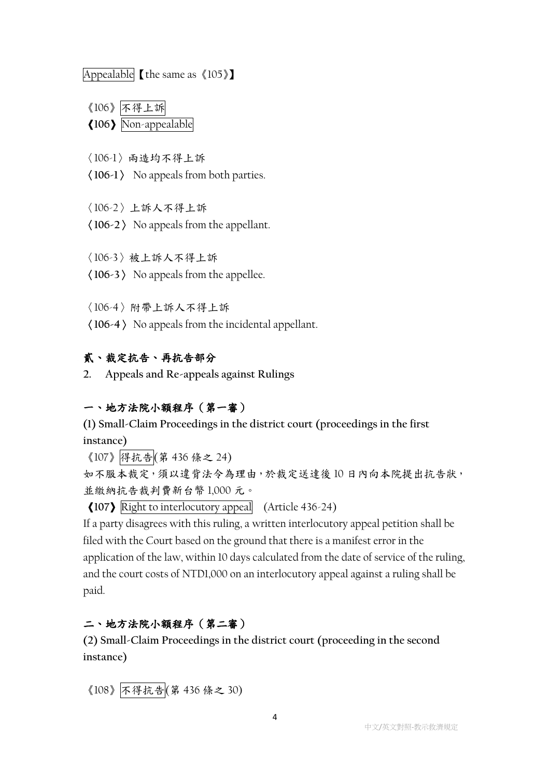Appealable 【the same as 《105》】

《106》不得上訴 《**106**》Non-appealable

〈106-1〉兩造均不得上訴

〈**106-1**〉 No appeals from both parties.

〈106-2〉上訴人不得上訴

〈**106-2**〉 No appeals from the appellant.

〈106-3〉被上訴人不得上訴

〈**106-3**〉 No appeals from the appellee.

〈106-4〉附帶上訴人不得上訴

〈**106-4**〉 No appeals from the incidental appellant.

#### 貳、裁定抗告、再抗告部分

**2. Appeals and Re-appeals against Rulings**

#### 一、地方法院小額程序(第一審)

**(1) Small-Claim Proceedings in the district court (proceedings in the first instance)**

《107》得抗告(第 436 條之 24)

如不服本裁定,須以違背法令為理由,於裁定送達後 10 日內向本院提出抗告狀, 並繳納抗告裁判費新台幣 1,000 元。

《**107**》Right to interlocutory appeal (Article 436-24)

If a party disagrees with this ruling, a written interlocutory appeal petition shall be filed with the Court based on the ground that there is a manifest error in the application of the law, within 10 days calculated from the date of service of the ruling, and the court costs of NTD1,000 on an interlocutory appeal against a ruling shall be paid.

#### 二、地方法院小額程序(第二審)

**(2) Small-Claim Proceedings in the district court (proceeding in the second instance)**

《108》不得抗告(第 436 條之 30)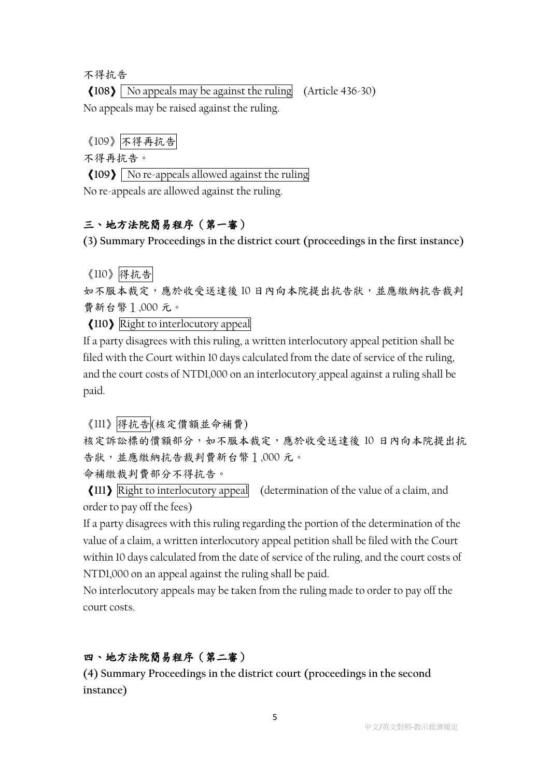不得抗告

《**108**》 No appeals may be against the ruling (Article 436-30) No appeals may be raised against the ruling.

《109》不得再抗告

不得再抗告。

《**109**》 No re-appeals allowed against the ruling

No re-appeals are allowed against the ruling.

#### 三、地方法院簡易程序(第一審)

**(3) Summary Proceedings in the district court (proceedings in the first instance)**

#### 《110》得抗告

如不服本裁定,應於收受送達後 10 日內向本院提出抗告狀,並應繳納抗告裁判 費新台幣1,000 元。

《**110**》Right to interlocutory appeal

If a party disagrees with this ruling, a written interlocutory appeal petition shall be filed with the Court within 10 days calculated from the date of service of the ruling, and the court costs of NTD1,000 on an interlocutory appeal against a ruling shall be paid.

《111》得抗告(核定價額並命補費)

核定訴訟標的價額部分,如不服本裁定,應於收受送達後 10 日內向本院提出抗 告狀,並應繳納抗告裁判費新台幣1,000 元。

命補繳裁判費部分不得抗告。

《**111**》Right to interlocutory appeal (determination of the value of a claim, and order to pay off the fees)

If a party disagrees with this ruling regarding the portion of the determination of the value of a claim, a written interlocutory appeal petition shall be filed with the Court within 10 days calculated from the date of service of the ruling, and the court costs of NTD1,000 on an appeal against the ruling shall be paid.

No interlocutory appeals may be taken from the ruling made to order to pay off the court costs.

#### 四、地方法院簡易程序(第二審)

**(4) Summary Proceedings in the district court (proceedings in the second instance)**

5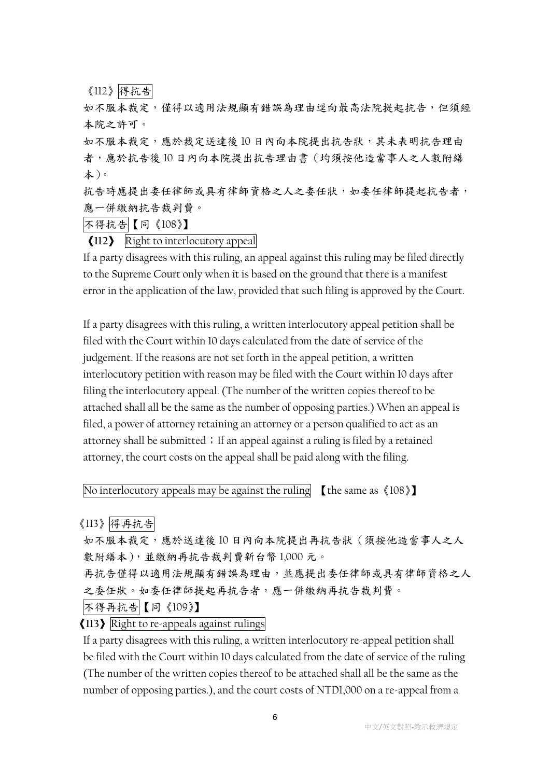《112》得抗告

如不服本裁定,僅得以適用法規顯有錯誤為理由逕向最高法院提起抗告,但須經 本院之許可。

如不服本裁定,應於裁定送達後 10 日內向本院提出抗告狀,其未表明抗告理由 者,應於抗告後 10 日內向本院提出抗告理由書(均須按他造當事人之人數附繕 本)。

抗告時應提出委任律師或具有律師資格之人之委任狀,如委任律師提起抗告者, 應一併繳納抗告裁判費。

不得抗告【同《108》】

《**112**》 Right to interlocutory appeal

If a party disagrees with this ruling, an appeal against this ruling may be filed directly to the Supreme Court only when it is based on the ground that there is a manifest error in the application of the law, provided that such filing is approved by the Court.

If a party disagrees with this ruling, a written interlocutory appeal petition shall be filed with the Court within 10 days calculated from the date of service of the judgement. If the reasons are not set forth in the appeal petition, a written interlocutory petition with reason may be filed with the Court within 10 days after filing the interlocutory appeal. (The number of the written copies thereof to be attached shall all be the same as the number of opposing parties.) When an appeal is filed, a power of attorney retaining an attorney or a person qualified to act as an attorney shall be submitted; If an appeal against a ruling is filed by a retained attorney, the court costs on the appeal shall be paid along with the filing.

No interlocutory appeals may be against the ruling  $\left[$  the same as  $\langle 108 \rangle \right]$ 

《113》得再抗告

如不服本裁定,應於送達後10日內向本院提出再抗告狀(須按他造當事人之人 數附繕本),並繳納再抗告裁判費新台幣 1,000 元。

再抗告僅得以適用法規顯有錯誤為理由,並應提出委任律師或具有律師資格之人 之委任狀。如委任律師提起再抗告者,應一併繳納再抗告裁判費。

不得再抗告【同《109》】

《**113**》Right to re-appeals against rulings

If a party disagrees with this ruling, a written interlocutory re-appeal petition shall be filed with the Court within 10 days calculated from the date of service of the ruling (The number of the written copies thereof to be attached shall all be the same as the number of opposing parties.), and the court costs of NTD1,000 on a re-appeal from a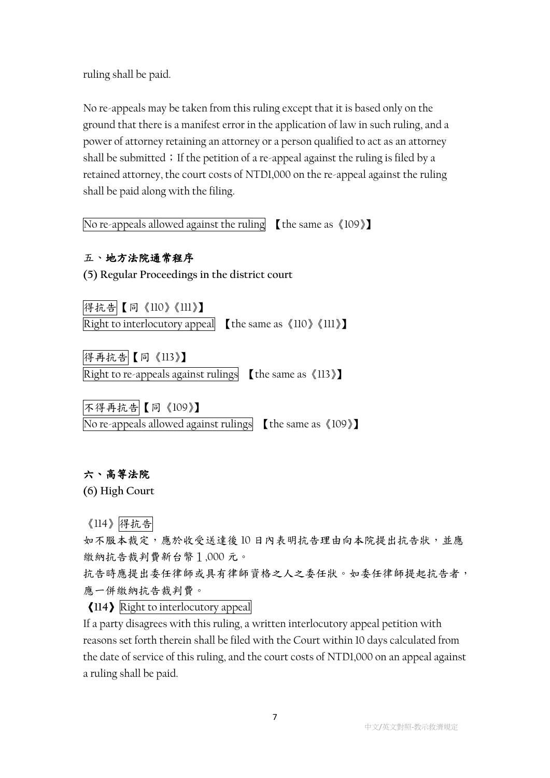ruling shall be paid.

No re-appeals may be taken from this ruling except that it is based only on the ground that there is a manifest error in the application of law in such ruling, and a power of attorney retaining an attorney or a person qualified to act as an attorney shall be submitted; If the petition of a re-appeal against the ruling is filed by a retained attorney, the court costs of NTD1,000 on the re-appeal against the ruling shall be paid along with the filing.

No re-appeals allowed against the ruling 【the same as《109》】

#### 五、地方法院通常程序

**(5) Regular Proceedings in the district court**

得抗告【同《110》《111》】 Right to interlocutory appeal  $[$  the same as  $\langle 110 \rangle$   $\langle 111 \rangle$  ]

得再抗告【同《113》】 Right to re-appeals against rulings  $\left[$  the same as  $\langle 113 \rangle \right]$ 

不得再抗告【同《109》】 No re-appeals allowed against rulings  $\left[$  the same as  $\langle 109 \rangle \right]$ 

#### 六、高等法院

**(6) High Court**

《114》得抗告

如不服本裁定,應於收受送達後 10 日內表明抗告理由向本院提出抗告狀,並應 繳納抗告裁判費新台幣1,000 元。

抗告時應提出委任律師或具有律師資格之人之委任狀。如委任律師提起抗告者, 應一併繳納抗告裁判費。

《**114**》Right to interlocutory appeal

If a party disagrees with this ruling, a written interlocutory appeal petition with reasons set forth therein shall be filed with the Court within 10 days calculated from the date of service of this ruling, and the court costs of NTD1,000 on an appeal against a ruling shall be paid.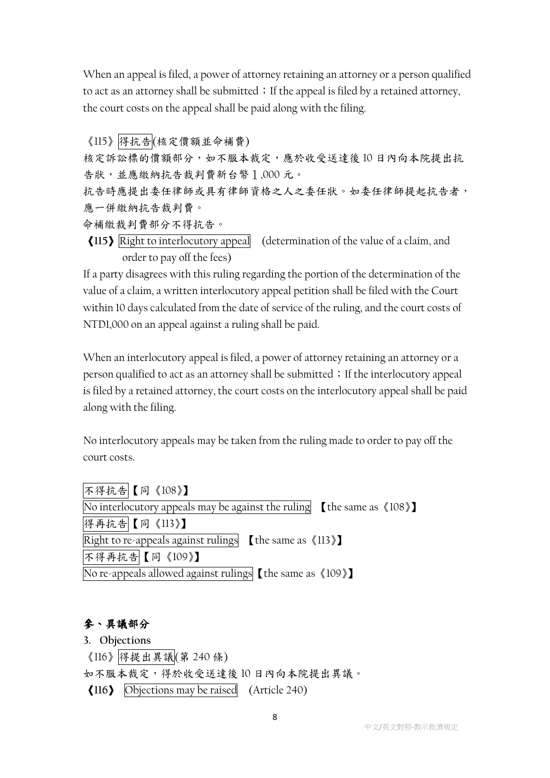When an appeal is filed, a power of attorney retaining an attorney or a person qualified to act as an attorney shall be submitted; If the appeal is filed by a retained attorney, the court costs on the appeal shall be paid along with the filing.

《115》得抗告(核定價額並命補費) 核定訴訟標的價額部分,如不服本裁定,應於收受送達後10日內向本院提出抗 告狀,並應繳納抗告裁判費新台幣1,000 元。 抗告時應提出委任律師或具有律師資格之人之委任狀。如委任律師提起抗告者, 應一併繳納抗告裁判費。

命補繳裁判費部分不得抗告。

《**115**》Right to interlocutory appeal (determination of the value of a claim, and order to pay off the fees)

If a party disagrees with this ruling regarding the portion of the determination of the value of a claim, a written interlocutory appeal petition shall be filed with the Court within 10 days calculated from the date of service of the ruling, and the court costs of NTD1,000 on an appeal against a ruling shall be paid.

When an interlocutory appeal is filed, a power of attorney retaining an attorney or a person qualified to act as an attorney shall be submitted; If the interlocutory appeal is filed by a retained attorney, the court costs on the interlocutory appeal shall be paid along with the filing.

No interlocutory appeals may be taken from the ruling made to order to pay off the court costs.

不得抗告【同《108》】 No interlocutory appeals may be against the ruling  $\left[$  the same as  $\langle 108 \rangle \right]$ 得再抗告【同《113》】 Right to re-appeals against rulings  $\left[$  the same as  $\langle 113 \rangle \right]$ 不得再抗告【同《109》】 No re-appeals allowed against rulings【the same as《109》】

### 參、異議部分

**3. Objections**

《116》得提出異議(第 240 條)

如不服本裁定,得於收受送達後 10 日內向本院提出異議。

《**116**》 Objections may be raised (Article 240)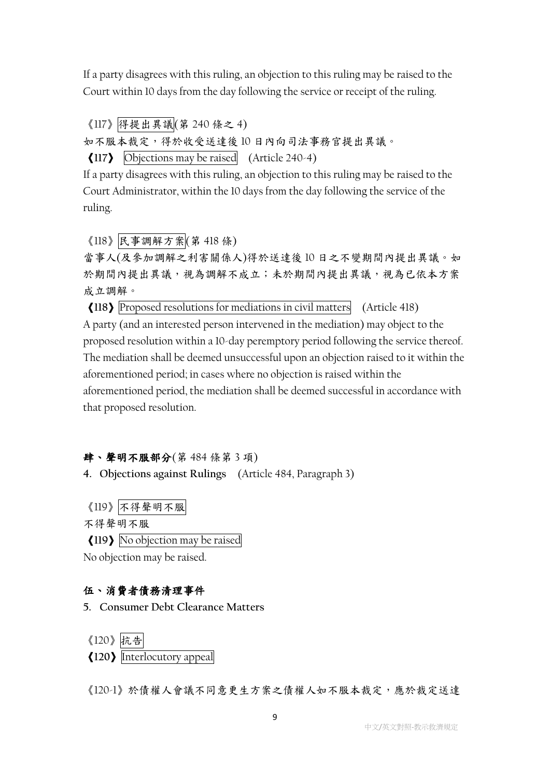If a party disagrees with this ruling, an objection to this ruling may be raised to the Court within 10 days from the day following the service or receipt of the ruling.

《117》得提出異議(第 240 條之 4)

如不服本裁定,得於收受送達後 10 日內向司法事務官提出異議。

《**117**》 Objections may be raised (Article 240-4)

If a party disagrees with this ruling, an objection to this ruling may be raised to the Court Administrator, within the 10 days from the day following the service of the ruling.

《118》民事調解方案(第 418 條)

當事人(及參加調解之利害關係人)得於送達後 10 日之不變期間內提出異議。如 於期間內提出異議,視為調解不成立;未於期間內提出異議,視為已依本方案 成立調解。

《**118**》Proposed resolutions for mediations in civil matters (Article 418) A party (and an interested person intervened in the mediation) may object to the proposed resolution within a 10-day peremptory period following the service thereof. The mediation shall be deemed unsuccessful upon an objection raised to it within the aforementioned period; in cases where no objection is raised within the aforementioned period, the mediation shall be deemed successful in accordance with that proposed resolution.

#### 肆、聲明不服部分(第 484 條第 3 項)

**4. Objections against Rulings** (Article 484, Paragraph 3)

《119》不得聲明不服

不得聲明不服

《**119**》No objection may be raised

No objection may be raised.

#### 伍、消費者債務清理事件

**5. Consumer Debt Clearance Matters**

《120》抗告 《**120**》Interlocutory appeal

《120-1》於債權人會議不同意更生方案之債權人如不服本裁定,應於裁定送達